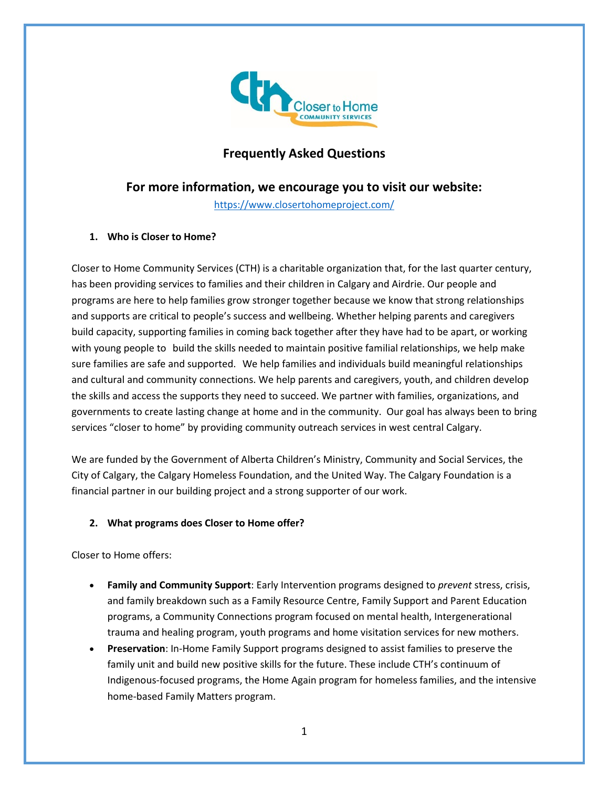

# **Frequently Asked Questions**

## **For more information, we encourage you to visit our website:**

<https://www.closertohomeproject.com/>

## **1. Who is Closer to Home?**

Closer to Home Community Services (CTH) is a charitable organization that, for the last quarter century, has been providing services to families and their children in Calgary and Airdrie. Our people and programs are here to help families grow stronger together because we know that strong relationships and supports are critical to people's success and wellbeing. Whether helping parents and caregivers build capacity, supporting families in coming back together after they have had to be apart, or working with young people to build the skills needed to maintain positive familial relationships, we help make sure families are safe and supported. We help families and individuals build meaningful relationships and cultural and community connections. We help parents and caregivers, youth, and children develop the skills and access the supports they need to succeed. We partner with families, organizations, and governments to create lasting change at home and in the community. Our goal has always been to bring services "closer to home" by providing community outreach services in west central Calgary.

We are funded by the Government of Alberta Children's Ministry, Community and Social Services, the City of Calgary, the Calgary Homeless Foundation, and the United Way. The Calgary Foundation is a financial partner in our building project and a strong supporter of our work.

## **2. What programs does Closer to Home offer?**

Closer to Home offers:

- **Family and Community Support**: Early Intervention programs designed to *prevent* stress, crisis, and family breakdown such as a Family Resource Centre, Family Support and Parent Education programs, a Community Connections program focused on mental health, Intergenerational trauma and healing program, youth programs and home visitation services for new mothers.
- **Preservation**: In-Home Family Support programs designed to assist families to preserve the family unit and build new positive skills for the future. These include CTH's continuum of Indigenous-focused programs, the Home Again program for homeless families, and the intensive home-based Family Matters program.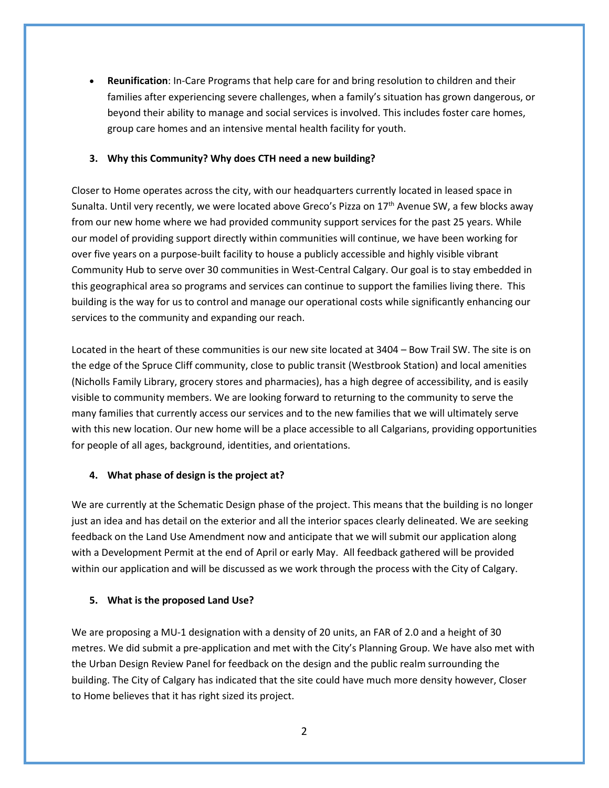• **Reunification**: In-Care Programs that help care for and bring resolution to children and their families after experiencing severe challenges, when a family's situation has grown dangerous, or beyond their ability to manage and social services is involved. This includes foster care homes, group care homes and an intensive mental health facility for youth.

#### **3. Why this Community? Why does CTH need a new building?**

Closer to Home operates across the city, with our headquarters currently located in leased space in Sunalta. Until very recently, we were located above Greco's Pizza on  $17<sup>th</sup>$  Avenue SW, a few blocks away from our new home where we had provided community support services for the past 25 years. While our model of providing support directly within communities will continue, we have been working for over five years on a purpose-built facility to house a publicly accessible and highly visible vibrant Community Hub to serve over 30 communities in West-Central Calgary. Our goal is to stay embedded in this geographical area so programs and services can continue to support the families living there. This building is the way for us to control and manage our operational costs while significantly enhancing our services to the community and expanding our reach.

Located in the heart of these communities is our new site located at 3404 – Bow Trail SW. The site is on the edge of the Spruce Cliff community, close to public transit (Westbrook Station) and local amenities (Nicholls Family Library, grocery stores and pharmacies), has a high degree of accessibility, and is easily visible to community members. We are looking forward to returning to the community to serve the many families that currently access our services and to the new families that we will ultimately serve with this new location. Our new home will be a place accessible to all Calgarians, providing opportunities for people of all ages, background, identities, and orientations.

## **4. What phase of design is the project at?**

We are currently at the Schematic Design phase of the project. This means that the building is no longer just an idea and has detail on the exterior and all the interior spaces clearly delineated. We are seeking feedback on the Land Use Amendment now and anticipate that we will submit our application along with a Development Permit at the end of April or early May. All feedback gathered will be provided within our application and will be discussed as we work through the process with the City of Calgary.

## **5. What is the proposed Land Use?**

We are proposing a MU-1 designation with a density of 20 units, an FAR of 2.0 and a height of 30 metres. We did submit a pre-application and met with the City's Planning Group. We have also met with the Urban Design Review Panel for feedback on the design and the public realm surrounding the building. The City of Calgary has indicated that the site could have much more density however, Closer to Home believes that it has right sized its project.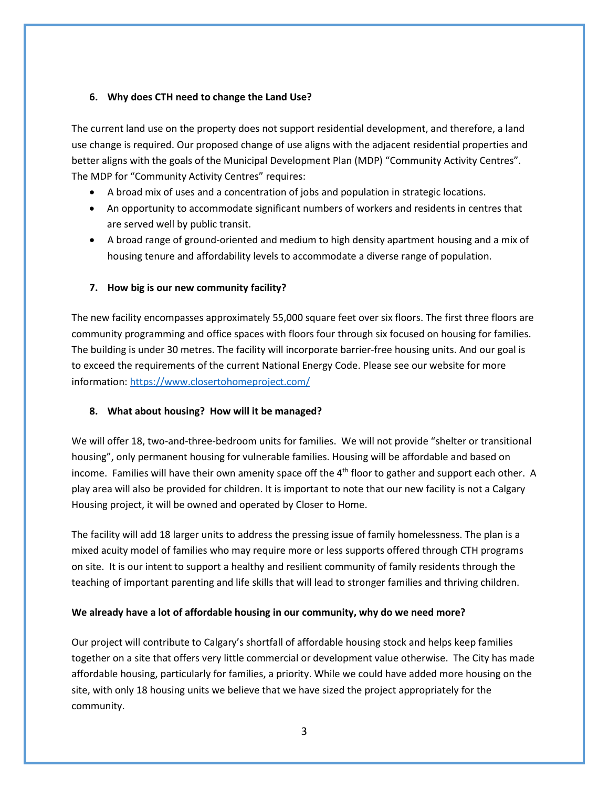## **6. Why does CTH need to change the Land Use?**

The current land use on the property does not support residential development, and therefore, a land use change is required. Our proposed change of use aligns with the adjacent residential properties and better aligns with the goals of the Municipal Development Plan (MDP) "Community Activity Centres". The MDP for "Community Activity Centres" requires:

- A broad mix of uses and a concentration of jobs and population in strategic locations.
- An opportunity to accommodate significant numbers of workers and residents in centres that are served well by public transit.
- A broad range of ground-oriented and medium to high density apartment housing and a mix of housing tenure and affordability levels to accommodate a diverse range of population.

## **7. How big is our new community facility?**

The new facility encompasses approximately 55,000 square feet over six floors. The first three floors are community programming and office spaces with floors four through six focused on housing for families. The building is under 30 metres. The facility will incorporate barrier-free housing units. And our goal is to exceed the requirements of the current National Energy Code. Please see our website for more information[: https://www.closertohomeproject.com/](https://www.closertohomeproject.com/)

## **8. What about housing? How will it be managed?**

We will offer 18, two-and-three-bedroom units for families. We will not provide "shelter or transitional housing", only permanent housing for vulnerable families. Housing will be affordable and based on income. Families will have their own amenity space off the 4<sup>th</sup> floor to gather and support each other. A play area will also be provided for children. It is important to note that our new facility is not a Calgary Housing project, it will be owned and operated by Closer to Home.

The facility will add 18 larger units to address the pressing issue of family homelessness. The plan is a mixed acuity model of families who may require more or less supports offered through CTH programs on site. It is our intent to support a healthy and resilient community of family residents through the teaching of important parenting and life skills that will lead to stronger families and thriving children.

## **We already have a lot of affordable housing in our community, why do we need more?**

Our project will contribute to Calgary's shortfall of affordable housing stock and helps keep families together on a site that offers very little commercial or development value otherwise. The City has made affordable housing, particularly for families, a priority. While we could have added more housing on the site, with only 18 housing units we believe that we have sized the project appropriately for the community.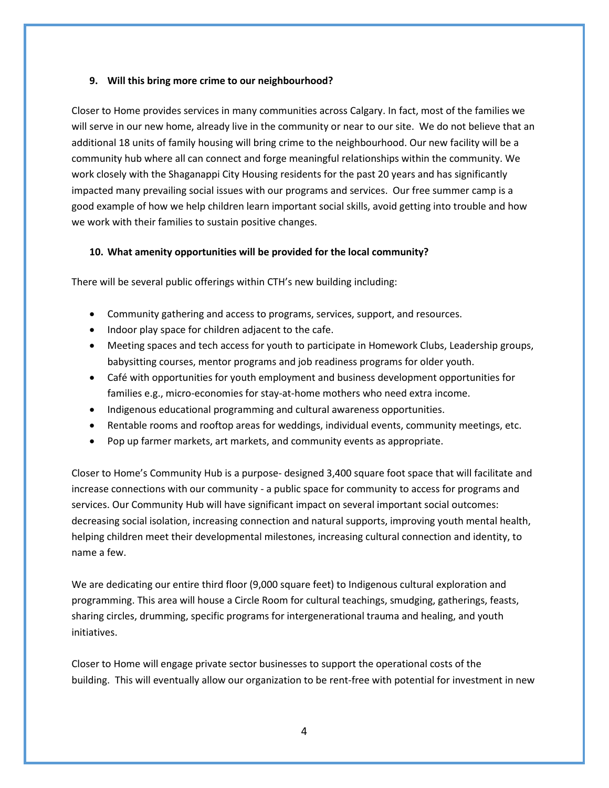#### **9. Will this bring more crime to our neighbourhood?**

Closer to Home provides services in many communities across Calgary. In fact, most of the families we will serve in our new home, already live in the community or near to our site. We do not believe that an additional 18 units of family housing will bring crime to the neighbourhood. Our new facility will be a community hub where all can connect and forge meaningful relationships within the community. We work closely with the Shaganappi City Housing residents for the past 20 years and has significantly impacted many prevailing social issues with our programs and services. Our free summer camp is a good example of how we help children learn important social skills, avoid getting into trouble and how we work with their families to sustain positive changes.

#### **10. What amenity opportunities will be provided for the local community?**

There will be several public offerings within CTH's new building including:

- Community gathering and access to programs, services, support, and resources.
- Indoor play space for children adjacent to the cafe.
- Meeting spaces and tech access for youth to participate in Homework Clubs, Leadership groups, babysitting courses, mentor programs and job readiness programs for older youth.
- Café with opportunities for youth employment and business development opportunities for families e.g., micro-economies for stay-at-home mothers who need extra income.
- Indigenous educational programming and cultural awareness opportunities.
- Rentable rooms and rooftop areas for weddings, individual events, community meetings, etc.
- Pop up farmer markets, art markets, and community events as appropriate.

Closer to Home's Community Hub is a purpose- designed 3,400 square foot space that will facilitate and increase connections with our community - a public space for community to access for programs and services. Our Community Hub will have significant impact on several important social outcomes: decreasing social isolation, increasing connection and natural supports, improving youth mental health, helping children meet their developmental milestones, increasing cultural connection and identity, to name a few.

We are dedicating our entire third floor (9,000 square feet) to Indigenous cultural exploration and programming. This area will house a Circle Room for cultural teachings, smudging, gatherings, feasts, sharing circles, drumming, specific programs for intergenerational trauma and healing, and youth initiatives.

Closer to Home will engage private sector businesses to support the operational costs of the building. This will eventually allow our organization to be rent-free with potential for investment in new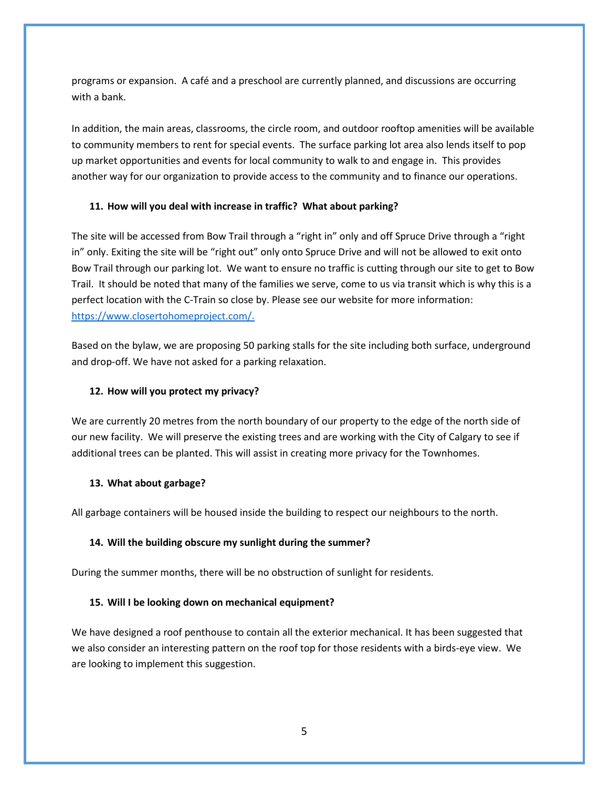programs or expansion. A café and a preschool are currently planned, and discussions are occurring with a bank.

In addition, the main areas, classrooms, the circle room, and outdoor rooftop amenities will be available to community members to rent for special events. The surface parking lot area also lends itself to pop up market opportunities and events for local community to walk to and engage in. This provides another way for our organization to provide access to the community and to finance our operations.

#### **11. How will you deal with increase in traffic? What about parking?**

The site will be accessed from Bow Trail through a "right in" only and off Spruce Drive through a "right in" only. Exiting the site will be "right out" only onto Spruce Drive and will not be allowed to exit onto Bow Trail through our parking lot. We want to ensure no traffic is cutting through our site to get to Bow Trail. It should be noted that many of the families we serve, come to us via transit which is why this is a perfect location with the C-Train so close by. Please see our website for more information: [https://www.closertohomeproject.com/.](https://www.closertohomeproject.com/)

Based on the bylaw, we are proposing 50 parking stalls for the site including both surface, underground and drop-off. We have not asked for a parking relaxation.

#### **12. How will you protect my privacy?**

We are currently 20 metres from the north boundary of our property to the edge of the north side of our new facility. We will preserve the existing trees and are working with the City of Calgary to see if additional trees can be planted. This will assist in creating more privacy for the Townhomes.

#### **13. What about garbage?**

All garbage containers will be housed inside the building to respect our neighbours to the north.

#### **14. Will the building obscure my sunlight during the summer?**

During the summer months, there will be no obstruction of sunlight for residents.

#### **15. Will I be looking down on mechanical equipment?**

We have designed a roof penthouse to contain all the exterior mechanical. It has been suggested that we also consider an interesting pattern on the roof top for those residents with a birds-eye view. We are looking to implement this suggestion.